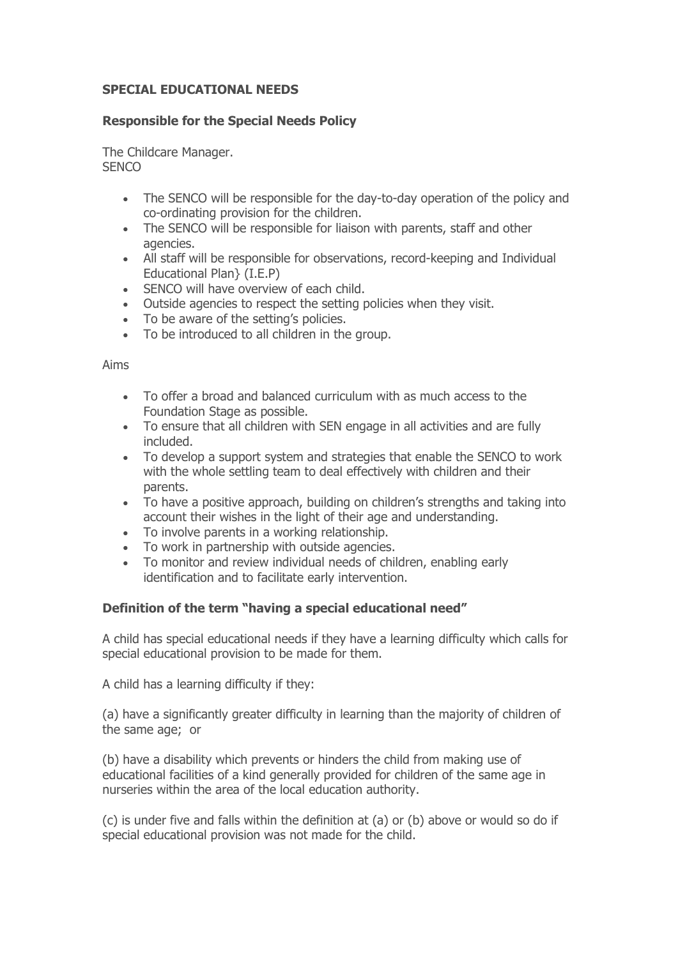### **SPECIAL EDUCATIONAL NEEDS**

### **Responsible for the Special Needs Policy**

The Childcare Manager. **SENCO** 

- The SENCO will be responsible for the day-to-day operation of the policy and co-ordinating provision for the children.
- The SENCO will be responsible for liaison with parents, staff and other agencies.
- All staff will be responsible for observations, record-keeping and Individual Educational Plan} (I.E.P)
- SENCO will have overview of each child.
- Outside agencies to respect the setting policies when they visit.
- To be aware of the setting's policies.
- To be introduced to all children in the group.

#### Aims

- To offer a broad and balanced curriculum with as much access to the Foundation Stage as possible.
- To ensure that all children with SEN engage in all activities and are fully included.
- To develop a support system and strategies that enable the SENCO to work with the whole settling team to deal effectively with children and their parents.
- To have a positive approach, building on children's strengths and taking into account their wishes in the light of their age and understanding.
- To involve parents in a working relationship.
- To work in partnership with outside agencies.
- To monitor and review individual needs of children, enabling early identification and to facilitate early intervention.

## **Definition of the term "having a special educational need"**

A child has special educational needs if they have a learning difficulty which calls for special educational provision to be made for them.

A child has a learning difficulty if they:

(a) have a significantly greater difficulty in learning than the majority of children of the same age; or

(b) have a disability which prevents or hinders the child from making use of educational facilities of a kind generally provided for children of the same age in nurseries within the area of the local education authority.

(c) is under five and falls within the definition at (a) or (b) above or would so do if special educational provision was not made for the child.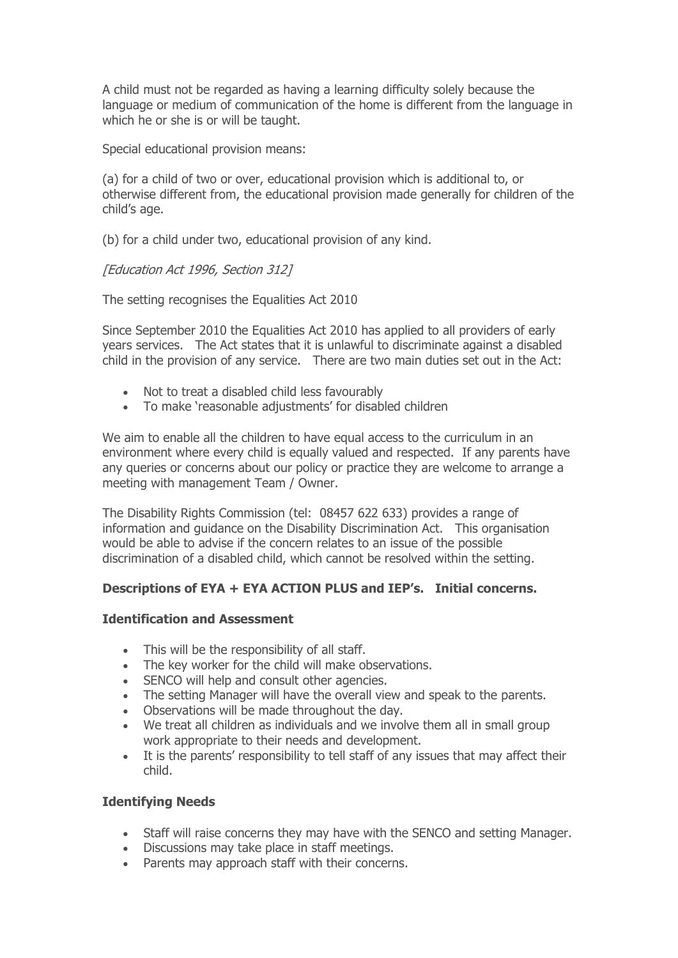A child must not be regarded as having a learning difficulty solely because the language or medium of communication of the home is different from the language in which he or she is or will be taught.

Special educational provision means:

(a) for a child of two or over, educational provision which is additional to, or otherwise different from, the educational provision made generally for children of the child's age.

(b) for a child under two, educational provision of any kind.

## [Education Act 1996, Section 312]

The setting recognises the Equalities Act 2010

Since September 2010 the Equalities Act 2010 has applied to all providers of early years services. The Act states that it is unlawful to discriminate against a disabled child in the provision of any service. There are two main duties set out in the Act:

- Not to treat a disabled child less favourably
- To make 'reasonable adjustments' for disabled children

We aim to enable all the children to have equal access to the curriculum in an environment where every child is equally valued and respected. If any parents have any queries or concerns about our policy or practice they are welcome to arrange a meeting with management Team / Owner.

The Disability Rights Commission (tel: 08457 622 633) provides a range of information and guidance on the Disability Discrimination Act. This organisation would be able to advise if the concern relates to an issue of the possible discrimination of a disabled child, which cannot be resolved within the setting.

## **Descriptions of EYA + EYA ACTION PLUS and IEP's. Initial concerns.**

### **Identification and Assessment**

- This will be the responsibility of all staff.
- The key worker for the child will make observations.
- SENCO will help and consult other agencies.
- The setting Manager will have the overall view and speak to the parents.
- Observations will be made throughout the day.
- We treat all children as individuals and we involve them all in small group work appropriate to their needs and development.
- It is the parents' responsibility to tell staff of any issues that may affect their child.

## **Identifying Needs**

- Staff will raise concerns they may have with the SENCO and setting Manager.
- Discussions may take place in staff meetings.
- Parents may approach staff with their concerns.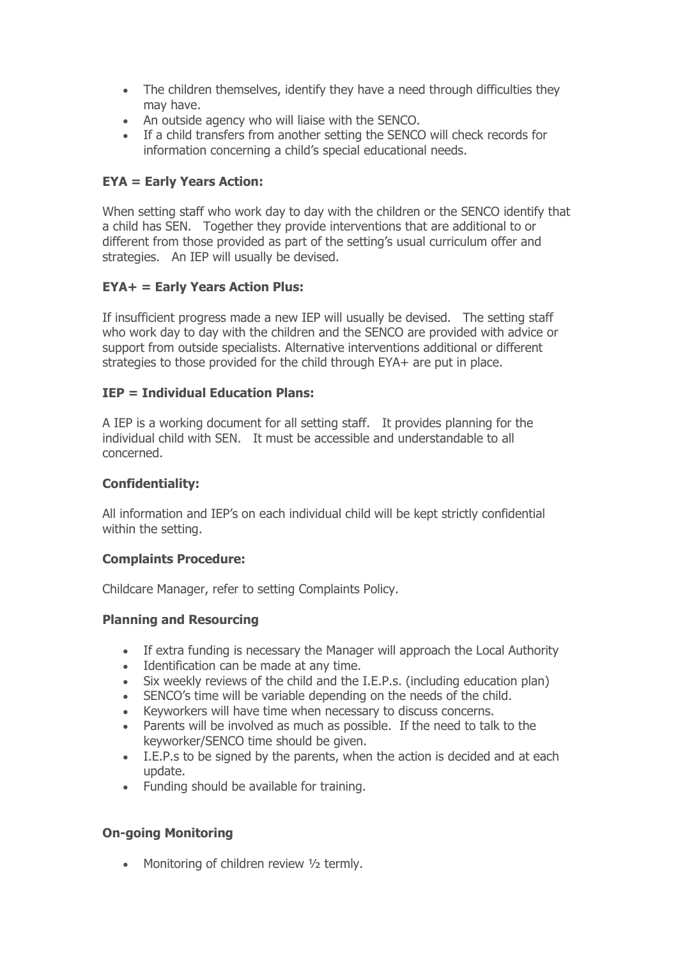- The children themselves, identify they have a need through difficulties they may have.
- An outside agency who will liaise with the SENCO.
- If a child transfers from another setting the SENCO will check records for information concerning a child's special educational needs.

# **EYA = Early Years Action:**

When setting staff who work day to day with the children or the SENCO identify that a child has SEN. Together they provide interventions that are additional to or different from those provided as part of the setting's usual curriculum offer and strategies. An IEP will usually be devised.

## **EYA+ = Early Years Action Plus:**

If insufficient progress made a new IEP will usually be devised. The setting staff who work day to day with the children and the SENCO are provided with advice or support from outside specialists. Alternative interventions additional or different strategies to those provided for the child through EYA+ are put in place.

# **IEP = Individual Education Plans:**

A IEP is a working document for all setting staff. It provides planning for the individual child with SEN. It must be accessible and understandable to all concerned.

## **Confidentiality:**

All information and IEP's on each individual child will be kept strictly confidential within the setting.

## **Complaints Procedure:**

Childcare Manager, refer to setting Complaints Policy.

## **Planning and Resourcing**

- If extra funding is necessary the Manager will approach the Local Authority
- Identification can be made at any time.
- Six weekly reviews of the child and the I.E.P.s. (including education plan)
- SENCO's time will be variable depending on the needs of the child.
- Keyworkers will have time when necessary to discuss concerns.
- Parents will be involved as much as possible. If the need to talk to the keyworker/SENCO time should be given.
- I.E.P.s to be signed by the parents, when the action is decided and at each update.
- Funding should be available for training.

## **On-going Monitoring**

• Monitoring of children review 1/2 termly.